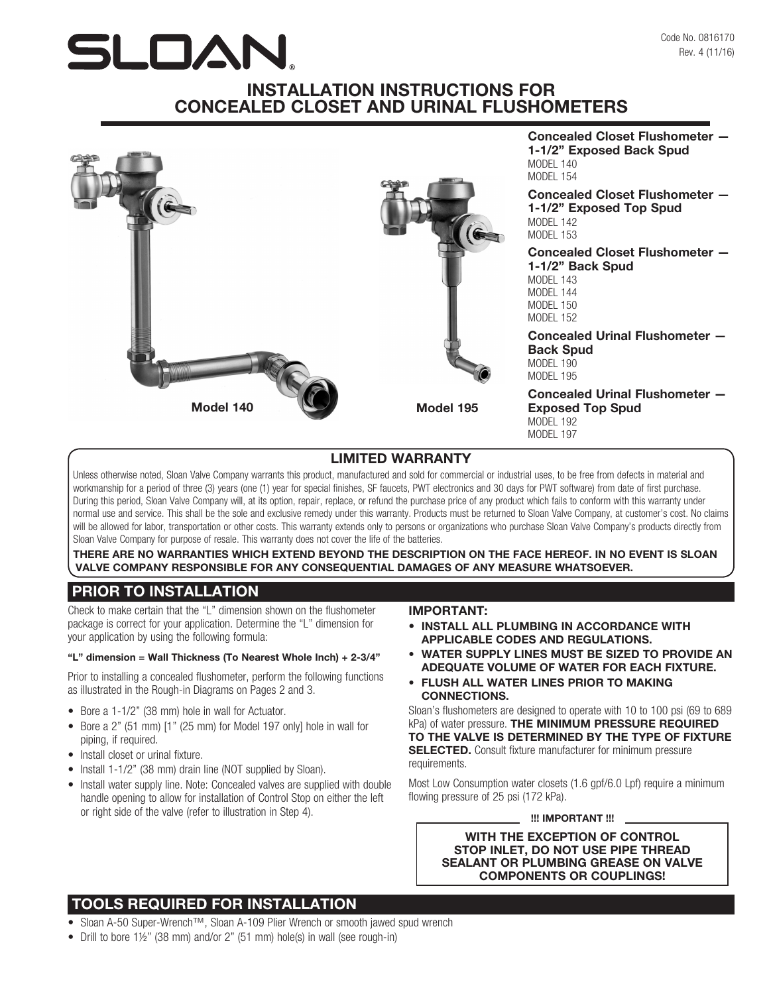# SLOAN

# INSTALLATION INSTRUCTIONS FOR CONCEALED CLOSET AND URINAL FLUSHOMETERS



## LIMITED WARRANTY

Unless otherwise noted, Sloan Valve Company warrants this product, manufactured and sold for commercial or industrial uses, to be free from defects in material and workmanship for a period of three (3) years (one (1) year for special finishes, SF faucets, PWT electronics and 30 days for PWT software) from date of first purchase. During this period, Sloan Valve Company will, at its option, repair, replace, or refund the purchase price of any product which fails to conform with this warranty under normal use and service. This shall be the sole and exclusive remedy under this warranty. Products must be returned to Sloan Valve Company, at customer's cost. No claims will be allowed for labor, transportation or other costs. This warranty extends only to persons or organizations who purchase Sloan Valve Company's products directly from Sloan Valve Company for purpose of resale. This warranty does not cover the life of the batteries.

THERE ARE NO WARRANTIES WHICH EXTEND BEYOND THE DESCRIPTION ON THE FACE HEREOF. IN NO EVENT IS SLOAN VALVE COMPANY RESPONSIBLE FOR ANY CONSEQUENTIAL DAMAGES OF ANY MEASURE WHATSOEVER.

## PRIOR TO INSTALLATION

Check to make certain that the "L" dimension shown on the flushometer package is correct for your application. Determine the "L" dimension for your application by using the following formula:

#### "L" dimension = Wall Thickness (To Nearest Whole Inch) + 2-3/4"

Prior to installing a concealed flushometer, perform the following functions as illustrated in the Rough-in Diagrams on Pages 2 and 3.

- Bore a 1-1/2" (38 mm) hole in wall for Actuator.
- Bore a 2" (51 mm) [1" (25 mm) for Model 197 only] hole in wall for piping, if required.
- Install closet or urinal fixture.
- Install 1-1/2" (38 mm) drain line (NOT supplied by Sloan).
- Install water supply line. Note: Concealed valves are supplied with double handle opening to allow for installation of Control Stop on either the left or right side of the valve (refer to illustration in Step 4).

## IMPORTANT:

- INSTALL ALL PLUMBING IN ACCORDANCE WITH APPLICABLE CODES AND REGULATIONS.
- WATER SUPPLY LINES MUST BE SIZED TO PROVIDE AN ADEQUATE VOLUME OF WATER FOR EACH FIXTURE.
- FLUSH ALL WATER LINES PRIOR TO MAKING CONNECTIONS.

Sloan's flushometers are designed to operate with 10 to 100 psi (69 to 689 kPa) of water pressure. THE MINIMUM PRESSURE REQUIRED TO THE VALVE IS DETERMINED BY THE TYPE OF FIXTURE **SELECTED.** Consult fixture manufacturer for minimum pressure requirements.

Most Low Consumption water closets (1.6 gpf/6.0 Lpf) require a minimum flowing pressure of 25 psi (172 kPa).

## !!! IMPORTANT !!!

WITH THE EXCEPTION OF CONTROL STOP INLET, DO NOT USE PIPE THREAD SEALANT OR PLUMBING GREASE ON VALVE COMPONENTS OR COUPLINGS!

# TOOLS REQUIRED FOR INSTALLATION

- Sloan A-50 Super-Wrench™, Sloan A-109 Plier Wrench or smooth jawed spud wrench
- Drill to bore 1½" (38 mm) and/or 2" (51 mm) hole(s) in wall (see rough-in)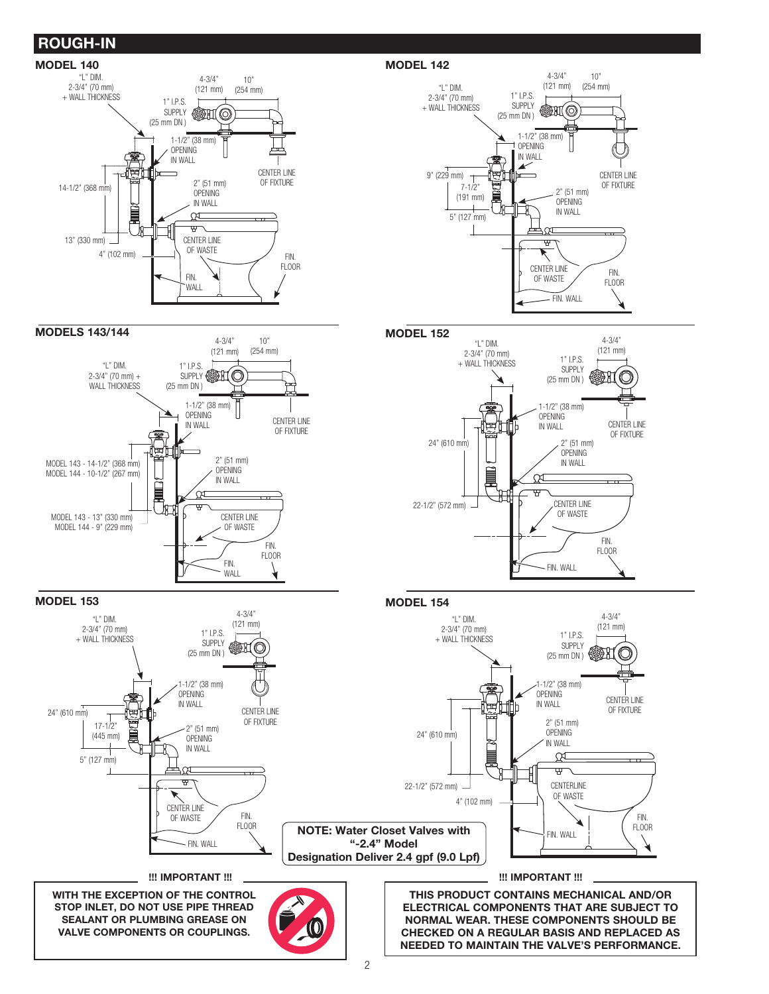# ROUGH-IN







4-3/4" "L" DIM (121 mm) 2-3/4" (70 mm)  $1"$  I.P.S. + WALL THICKNESS SUPPLY (25 mm DN ) 1-1/2" (38 mm) OPENING 岡 CENTER LINE IN WALL OF FIXTURE 2" (51 mm) 24" (610 mm) OPENING IN WALL CX ᠮ CENTER LINE 22-1/2" (572 mm) OF WASTE FIN. FLOOR FIN. WALL

MODEL 153 MODEL 154

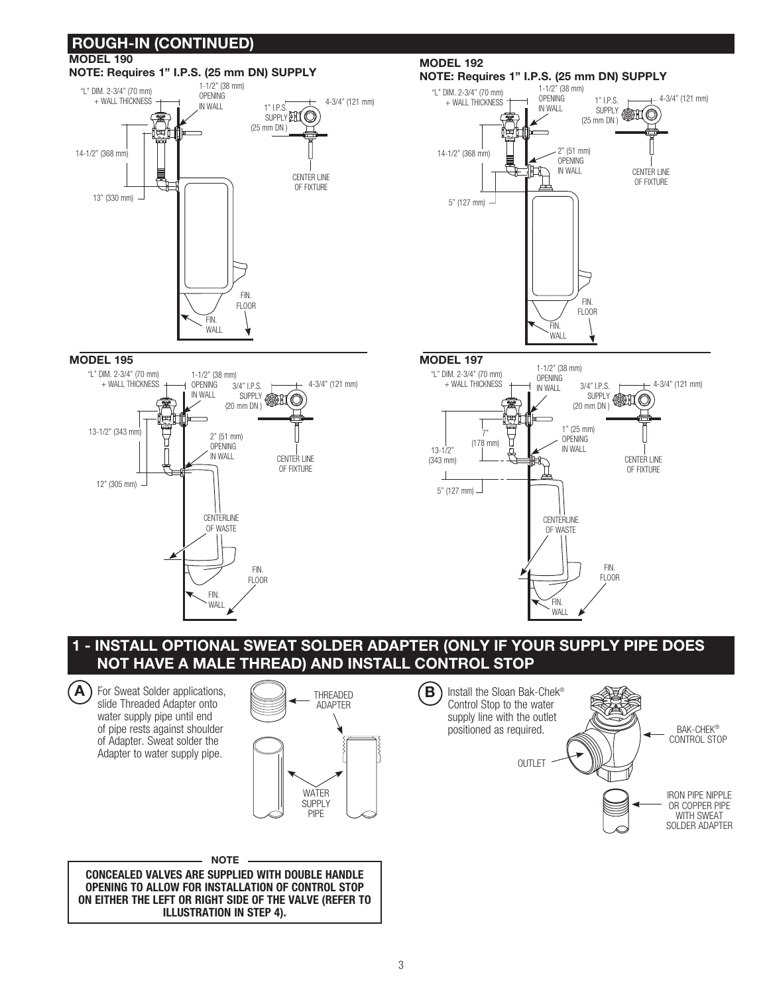

## 1 - INSTALL OPTIONAL SWEAT SOLDER ADAPTER (ONLY IF YOUR SUPPLY PIPE DOES NOT HAVE A MALE THREAD) AND INSTALL CONTROL STOP

 $\overrightarrow{A}$  For Sweat Solder applications, slide Threaded Adapter onto water supply pipe until end of pipe rests against shoulder of Adapter. Sweat solder the Adapter to water supply pipe.



CONCEALED VALVES ARE SUPPLIED WITH DOUBLE HANDLE OPENING TO ALLOW FOR INSTALLATION OF CONTROL STOP ON EITHER THE LEFT OR RIGHT SIDE OF THE VALVE (REFER TO ILLUSTRATION IN STEP 4). NOTE

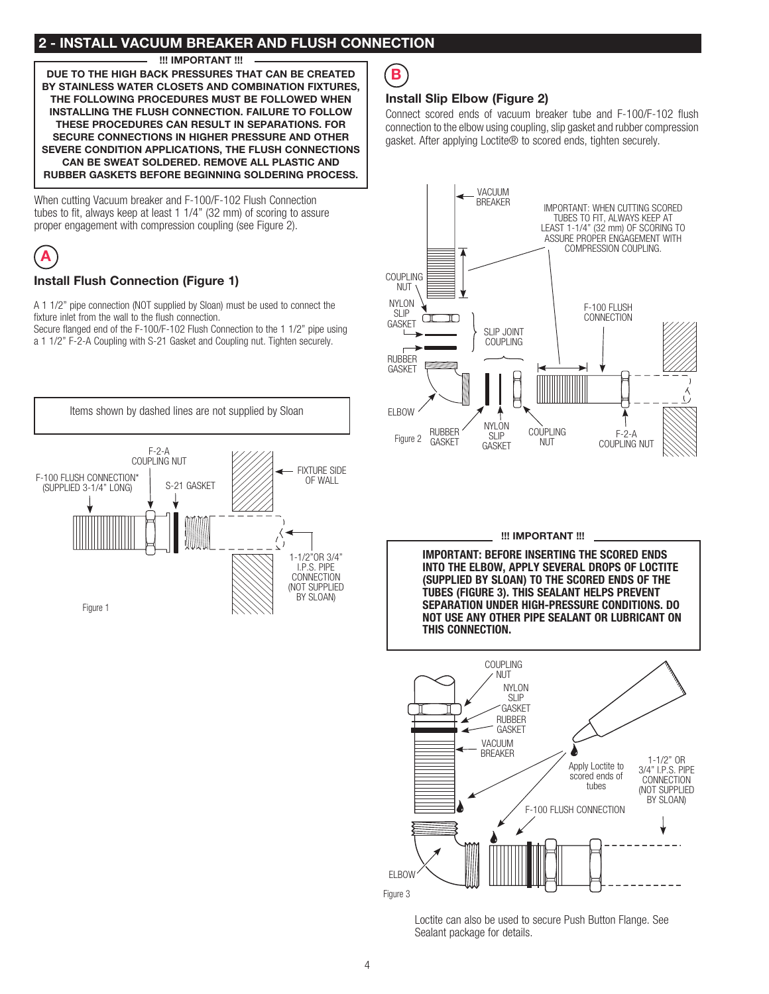## 2 - INSTALL VACUUM BREAKER AND FLUSH CONNECTION

!!! IMPORTANT !!!

DUE TO THE HIGH BACK PRESSURES THAT CAN BE CREATED BY STAINLESS WATER CLOSETS AND COMBINATION FIXTURES, THE FOLLOWING PROCEDURES MUST BE FOLLOWED WHEN INSTALLING THE FLUSH CONNECTION. FAILURE TO FOLLOW THESE PROCEDURES CAN RESULT IN SEPARATIONS. FOR SECURE CONNECTIONS IN HIGHER PRESSURE AND OTHER SEVERE CONDITION APPLICATIONS, THE FLUSH CONNECTIONS CAN BE SWEAT SOLDERED. REMOVE ALL PLASTIC AND RUBBER GASKETS BEFORE BEGINNING SOLDERING PROCESS.

When cutting Vacuum breaker and F-100/F-102 Flush Connection tubes to fit, always keep at least 1 1/4" (32 mm) of scoring to assure proper engagement with compression coupling (see Figure 2).



## Install Flush Connection (Figure 1)

A 1 1/2" pipe connection (NOT supplied by Sloan) must be used to connect the fixture inlet from the wall to the flush connection.

Secure flanged end of the F-100/F-102 Flush Connection to the 1 1/2" pipe using a 1 1/2" F-2-A Coupling with S-21 Gasket and Coupling nut. Tighten securely.





## Install Slip Elbow (Figure 2)

Connect scored ends of vacuum breaker tube and F-100/F-102 flush connection to the elbow using coupling, slip gasket and rubber compression gasket. After applying Loctite® to scored ends, tighten securely.



#### !!! IMPORTANT !!!

IMPORTANT: BEFORE INSERTING THE SCORED ENDS INTO THE ELBOW, APPLY SEVERAL DROPS OF LOCTITE (SUPPLIED BY SLOAN) TO THE SCORED ENDS OF THE TUBES (FIGURE 3). THIS SEALANT HELPS PREVENT SEPARATION UNDER HIGH-PRESSURE CONDITIONS. DO NOT USE ANY OTHER PIPE SEALANT OR LUBRICANT ON THIS CONNECTION.



Loctite can also be used to secure Push Button Flange. See Sealant package for details.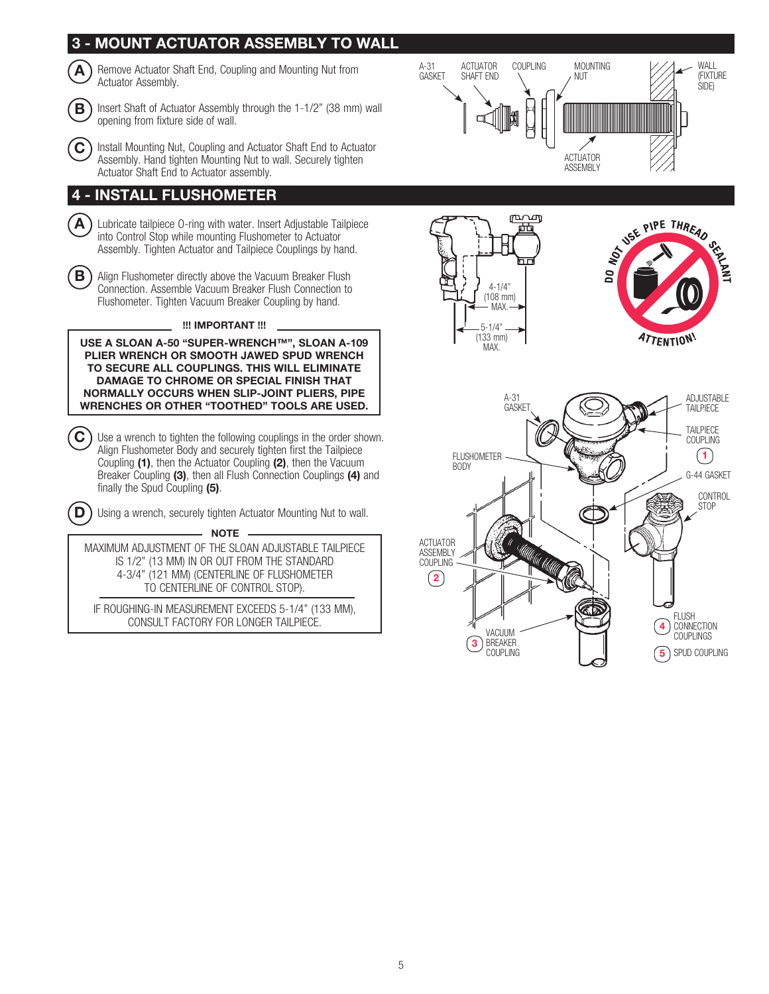

BREAKER **COUPLING** 

 $\left(3\right)$ 

5

SPUD COUPLING

5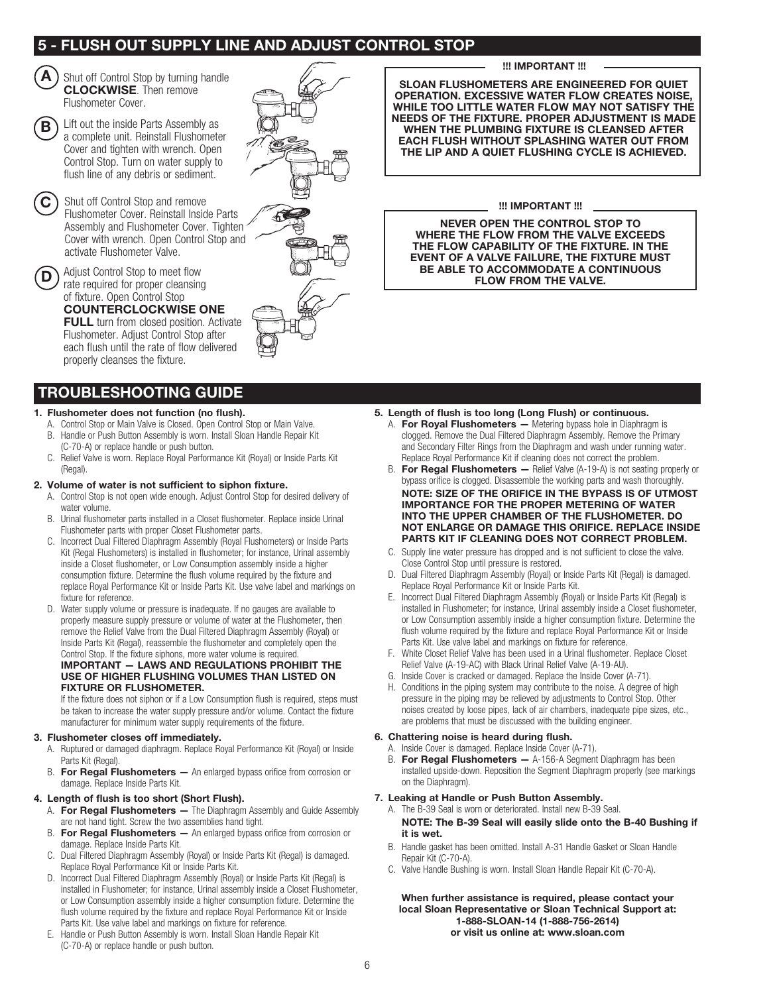## 5 - FLUSH OUT SUPPLY LINE AND ADJUST CONTROL STOP

Shut off Control Stop by turning handle CLOCKWISE. Then remove Flushometer Cover. A

B

D

Lift out the inside Parts Assembly as a complete unit. Reinstall Flushometer Cover and tighten with wrench. Open Control Stop. Turn on water supply to flush line of any debris or sediment.

C ) Shut off Control Stop and remove Flushometer Cover. Reinstall Inside Parts Assembly and Flushometer Cover. Tighten Cover with wrench. Open Control Stop and activate Flushometer Valve.

Adjust Control Stop to meet flow rate required for proper cleansing

of fixture. Open Control Stop COUNTERCLOCKWISE ONE

FULL turn from closed position. Activate Flushometer. Adjust Control Stop after each flush until the rate of flow delivered properly cleanses the fixture.

## TROUBLESHOOTING GUIDE

#### 1. Flushometer does not function (no flush).

- A. Control Stop or Main Valve is Closed. Open Control Stop or Main Valve. B. Handle or Push Button Assembly is worn. Install Sloan Handle Repair Kit
- (C-70-A) or replace handle or push button. C. Relief Valve is worn. Replace Royal Performance Kit (Royal) or Inside Parts Kit
- (Regal)

## 2. Volume of water is not sufficient to siphon fixture.

- A. Control Stop is not open wide enough. Adjust Control Stop for desired delivery of water volume.
- B. Urinal flushometer parts installed in a Closet flushometer. Replace inside Urinal Flushometer parts with proper Closet Flushometer parts.
- C. Incorrect Dual Filtered Diaphragm Assembly (Royal Flushometers) or Inside Parts Kit (Regal Flushometers) is installed in flushometer; for instance, Urinal assembly inside a Closet flushometer, or Low Consumption assembly inside a higher consumption fixture. Determine the flush volume required by the fixture and replace Royal Performance Kit or Inside Parts Kit. Use valve label and markings on fixture for reference.
- D. Water supply volume or pressure is inadequate. If no gauges are available to properly measure supply pressure or volume of water at the Flushometer, then remove the Relief Valve from the Dual Filtered Diaphragm Assembly (Royal) or Inside Parts Kit (Regal), reassemble the flushometer and completely open the Control Stop. If the fixture siphons, more water volume is required.

#### IMPORTANT — LAWS AND REGULATIONS PROHIBIT THE USE OF HIGHER FLUSHING VOLUMES THAN LISTED ON FIXTURE OR FLUSHOMETER.

If the fixture does not siphon or if a Low Consumption flush is required, steps must be taken to increase the water supply pressure and/or volume. Contact the fixture manufacturer for minimum water supply requirements of the fixture.

#### 3. Flushometer closes off immediately.

- A. Ruptured or damaged diaphragm. Replace Royal Performance Kit (Royal) or Inside Parts Kit (Regal).
- B. For Regal Flushometers An enlarged bypass orifice from corrosion or damage. Replace Inside Parts Kit.

### 4. Length of flush is too short (Short Flush).

- A. For Regal Flushometers The Diaphragm Assembly and Guide Assembly are not hand tight. Screw the two assemblies hand tight.
- B. For Regal Flushometers An enlarged bypass orifice from corrosion or damage. Replace Inside Parts Kit.
- C. Dual Filtered Diaphragm Assembly (Royal) or Inside Parts Kit (Regal) is damaged. Replace Royal Performance Kit or Inside Parts Kit.
- D. Incorrect Dual Filtered Diaphragm Assembly (Royal) or Inside Parts Kit (Regal) is installed in Flushometer; for instance, Urinal assembly inside a Closet Flushometer, or Low Consumption assembly inside a higher consumption fixture. Determine the flush volume required by the fixture and replace Royal Performance Kit or Inside Parts Kit. Use valve label and markings on fixture for reference.
- E. Handle or Push Button Assembly is worn. Install Sloan Handle Repair Kit (C-70-A) or replace handle or push button.



#### !!! IMPORTANT !!!

SLOAN FLUSHOMETERS ARE ENGINEERED FOR QUIET OPERATION. EXCESSIVE WATER FLOW CREATES NOISE, WHILE TOO LITTLE WATER FLOW MAY NOT SATISFY THE NEEDS OF THE FIXTURE. PROPER ADJUSTMENT IS MADE WHEN THE PLUMBING FIXTURE IS CLEANSED AFTER EACH FLUSH WITHOUT SPLASHING WATER OUT FROM THE LIP AND A QUIET FLUSHING CYCLE IS ACHIEVED.

#### !!! IMPORTANT !!!

NEVER OPEN THE CONTROL STOP TO WHERE THE FLOW FROM THE VALVE EXCEEDS THE FLOW CAPABILITY OF THE FIXTURE. IN THE EVENT OF A VALVE FAILURE, THE FIXTURE MUST BE ABLE TO ACCOMMODATE A CONTINUOUS FLOW FROM THE VALVE.

#### 5. Length of flush is too long (Long Flush) or continuous.

- A. For Royal Flushometers Metering bypass hole in Diaphragm is clogged. Remove the Dual Filtered Diaphragm Assembly. Remove the Primary and Secondary Filter Rings from the Diaphragm and wash under running water. Replace Royal Performance Kit if cleaning does not correct the problem.
- B. For Regal Flushometers Relief Valve (A-19-A) is not seating properly or bypass orifice is clogged. Disassemble the working parts and wash thoroughly.
- NOTE: SIZE OF THE ORIFICE IN THE BYPASS IS OF UTMOST IMPORTANCE FOR THE PROPER METERING OF WATER INTO THE UPPER CHAMBER OF THE FLUSHOMETER. DO NOT ENLARGE OR DAMAGE THIS ORIFICE. REPLACE INSIDE PARTS KIT IF CLEANING DOES NOT CORRECT PROBLEM.
- C. Supply line water pressure has dropped and is not sufficient to close the valve. Close Control Stop until pressure is restored.
- D. Dual Filtered Diaphragm Assembly (Royal) or Inside Parts Kit (Regal) is damaged. Replace Royal Performance Kit or Inside Parts Kit.
- E. Incorrect Dual Filtered Diaphragm Assembly (Royal) or Inside Parts Kit (Regal) is installed in Flushometer; for instance, Urinal assembly inside a Closet flushometer, or Low Consumption assembly inside a higher consumption fixture. Determine the flush volume required by the fixture and replace Royal Performance Kit or Inside Parts Kit. Use valve label and markings on fixture for reference.
- F. White Closet Relief Valve has been used in a Urinal flushometer. Replace Closet Relief Valve (A-19-AC) with Black Urinal Relief Valve (A-19-AU).
- G. Inside Cover is cracked or damaged. Replace the Inside Cover (A-71).
- H. Conditions in the piping system may contribute to the noise. A degree of high pressure in the piping may be relieved by adjustments to Control Stop. Other noises created by loose pipes, lack of air chambers, inadequate pipe sizes, etc., are problems that must be discussed with the building engineer.

#### 6. Chattering noise is heard during flush.

- A. Inside Cover is damaged. Replace Inside Cover (A-71).
- B. For Regal Flushometers A-156-A Segment Diaphragm has been installed upside-down. Reposition the Segment Diaphragm properly (see markings on the Diaphragm).

#### 7. Leaking at Handle or Push Button Assembly.

- A. The B-39 Seal is worn or deteriorated. Install new B-39 Seal. NOTE: The B-39 Seal will easily slide onto the B-40 Bushing if it is wet.
- B. Handle gasket has been omitted. Install A-31 Handle Gasket or Sloan Handle Repair Kit (C-70-A).
- C. Valve Handle Bushing is worn. Install Sloan Handle Repair Kit (C-70-A).

When further assistance is required, please contact your local Sloan Representative or Sloan Technical Support at: 1-888-SLOAN-14 (1-888-756-2614) or visit us online at: www.sloan.com